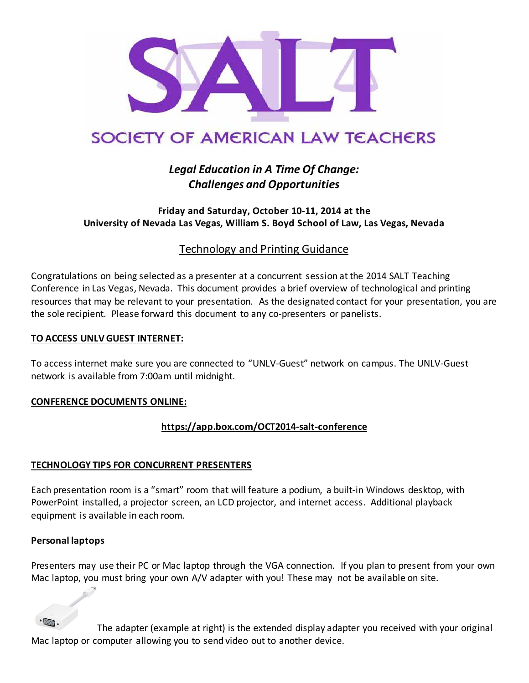

# SOCIETY OF AMERICAN LAW TEACHERS

## *Legal Education in A Time Of Change: Challenges and Opportunities*

#### **Friday and Saturday, October 10-11, 2014 at the University of Nevada Las Vegas, William S. Boyd School of Law, Las Vegas, Nevada**

### Technology and Printing Guidance

Congratulations on being selected as a presenter at a concurrent session atthe 2014 SALT Teaching Conference in Las Vegas, Nevada. This document provides a brief overview of technological and printing resources that may be relevant to your presentation. As the designated contact for your presentation, you are the sole recipient. Please forward this document to any co-presenters or panelists.

#### **TO ACCESS UNLV GUEST INTERNET:**

To access internet make sure you are connected to "UNLV-Guest" network on campus. The UNLV-Guest network is available from 7:00am until midnight.

#### **CONFERENCE DOCUMENTS ONLINE:**

#### **<https://app.box.com/OCT2014-salt-conference>**

#### **TECHNOLOGY TIPS FOR CONCURRENT PRESENTERS**

Each presentation room is a "smart" room that will feature a podium, a built-in Windows desktop, with PowerPoint installed, a projector screen, an LCD projector, and internet access. Additional playback equipment is available in each room.

#### **Personal laptops**

Presenters may use their PC or Mac laptop through the VGA connection. If you plan to present from your own Mac laptop, you must bring your own A/V adapter with you! These may not be available on site.

The adapter (example at right) is the extended display adapter you received with your original Mac laptop or computer allowing you to send video out to another device.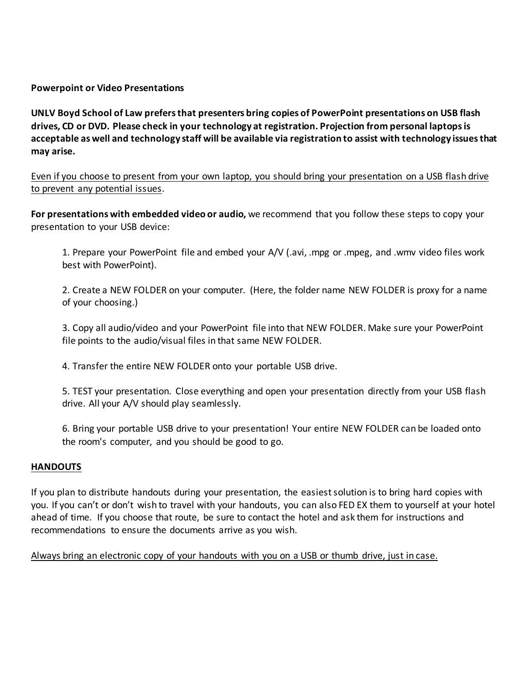**Powerpoint or Video Presentations**

**UNLV Boyd School of Law prefers that presenters bring copies of PowerPoint presentations on USB flash drives, CD or DVD. Please check in your technology at registration. Projection from personal laptopsis acceptable as well and technology staff will be available via registration to assist with technology issues that may arise.** 

Even if you choose to present from your own laptop, you should bring your presentation on a USB flash drive to prevent any potential issues.

**For presentations with embedded video or audio,** we recommend that you follow these steps to copy your presentation to your USB device:

1. Prepare your PowerPoint file and embed your A/V (.avi, .mpg or .mpeg, and .wmv video files work best with PowerPoint).

2. Create a NEW FOLDER on your computer. (Here, the folder name NEW FOLDER is proxy for a name of your choosing.)

3. Copy all audio/video and your PowerPoint file into that NEW FOLDER. Make sure your PowerPoint file points to the audio/visual files in that same NEW FOLDER.

4. Transfer the entire NEW FOLDER onto your portable USB drive.

5. TEST your presentation. Close everything and open your presentation directly from your USB flash drive. All your A/V should play seamlessly.

6. Bring your portable USB drive to your presentation! Your entire NEW FOLDER can be loaded onto the room's computer, and you should be good to go.

#### **HANDOUTS**

If you plan to distribute handouts during your presentation, the easiest solution is to bring hard copies with you. If you can't or don't wish to travel with your handouts, you can also FED EX them to yourself at your hotel ahead of time. If you choose that route, be sure to contact the hotel and ask them for instructions and recommendations to ensure the documents arrive as you wish.

Always bring an electronic copy of your handouts with you on a USB or thumb drive, just in case.